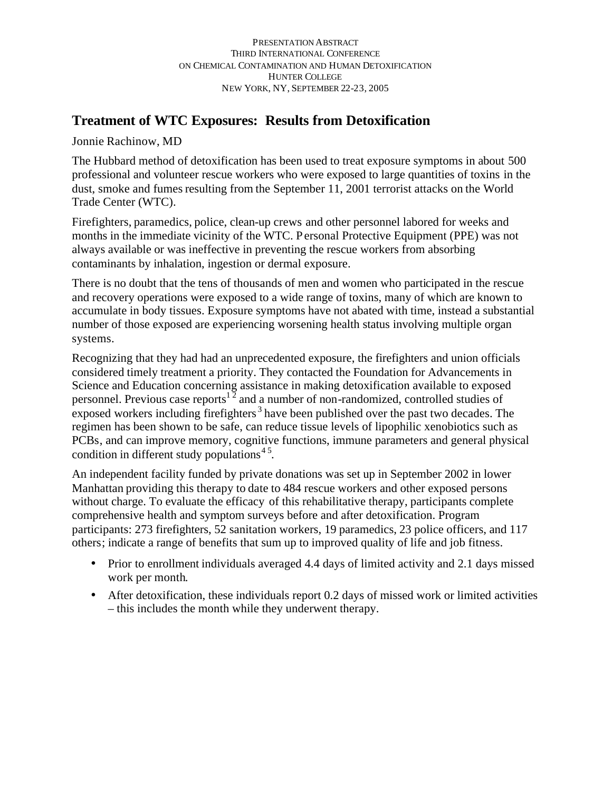## **Treatment of WTC Exposures: Results from Detoxification**

Jonnie Rachinow, MD

The Hubbard method of detoxification has been used to treat exposure symptoms in about 500 professional and volunteer rescue workers who were exposed to large quantities of toxins in the dust, smoke and fumes resulting from the September 11, 2001 terrorist attacks on the World Trade Center (WTC).

Firefighters, paramedics, police, clean-up crews and other personnel labored for weeks and months in the immediate vicinity of the WTC. Personal Protective Equipment (PPE) was not always available or was ineffective in preventing the rescue workers from absorbing contaminants by inhalation, ingestion or dermal exposure.

There is no doubt that the tens of thousands of men and women who participated in the rescue and recovery operations were exposed to a wide range of toxins, many of which are known to accumulate in body tissues. Exposure symptoms have not abated with time, instead a substantial number of those exposed are experiencing worsening health status involving multiple organ systems.

Recognizing that they had had an unprecedented exposure, the firefighters and union officials considered timely treatment a priority. They contacted the Foundation for Advancements in Science and Education concerning assistance in making detoxification available to exposed personnel. Previous case reports<sup>12</sup> and a number of non-randomized, controlled studies of exposed workers including firefighters<sup>3</sup> have been published over the past two decades. The regimen has been shown to be safe, can reduce tissue levels of lipophilic xenobiotics such as PCBs, and can improve memory, cognitive functions, immune parameters and general physical condition in different study populations<sup>45</sup>.

An independent facility funded by private donations was set up in September 2002 in lower Manhattan providing this therapy to date to 484 rescue workers and other exposed persons without charge. To evaluate the efficacy of this rehabilitative therapy, participants complete comprehensive health and symptom surveys before and after detoxification. Program participants: 273 firefighters, 52 sanitation workers, 19 paramedics, 23 police officers, and 117 others; indicate a range of benefits that sum up to improved quality of life and job fitness.

- Prior to enrollment individuals averaged 4.4 days of limited activity and 2.1 days missed work per month.
- After detoxification, these individuals report 0.2 days of missed work or limited activities – this includes the month while they underwent therapy.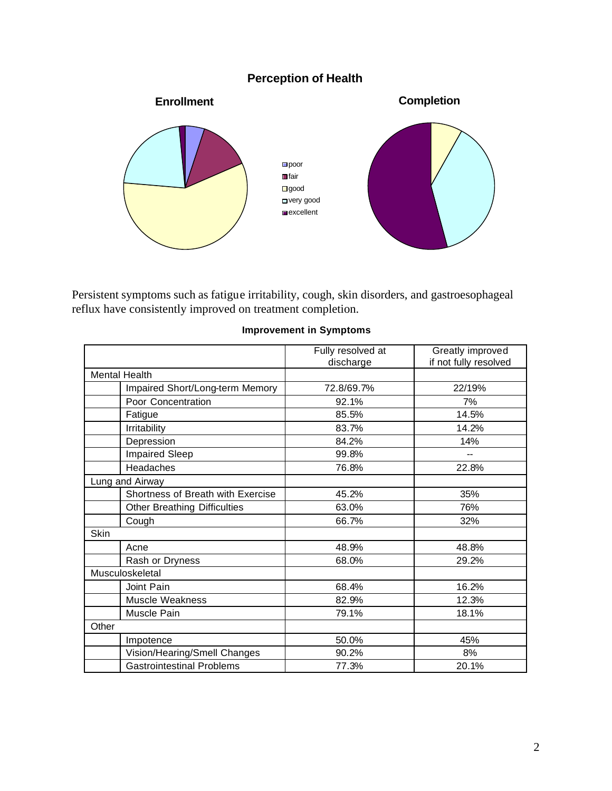## **Perception of Health**



Persistent symptoms such as fatigue irritability, cough, skin disorders, and gastroesophageal reflux have consistently improved on treatment completion.

|                      |                                     | Fully resolved at | Greatly improved         |
|----------------------|-------------------------------------|-------------------|--------------------------|
|                      |                                     | discharge         | if not fully resolved    |
| <b>Mental Health</b> |                                     |                   |                          |
|                      | Impaired Short/Long-term Memory     | 72.8/69.7%        | 22/19%                   |
|                      | Poor Concentration                  | 92.1%             | 7%                       |
|                      | Fatigue                             | 85.5%             | 14.5%                    |
|                      | Irritability                        | 83.7%             | 14.2%                    |
|                      | Depression                          | 84.2%             | 14%                      |
|                      | Impaired Sleep                      | 99.8%             | $\overline{\phantom{0}}$ |
|                      | Headaches                           | 76.8%             | 22.8%                    |
| Lung and Airway      |                                     |                   |                          |
|                      | Shortness of Breath with Exercise   | 45.2%             | 35%                      |
|                      | <b>Other Breathing Difficulties</b> | 63.0%             | 76%                      |
|                      | Cough                               | 66.7%             | 32%                      |
| <b>Skin</b>          |                                     |                   |                          |
|                      | Acne                                | 48.9%             | 48.8%                    |
|                      | Rash or Dryness                     | 68.0%             | 29.2%                    |
| Musculoskeletal      |                                     |                   |                          |
|                      | Joint Pain                          | 68.4%             | 16.2%                    |
|                      | <b>Muscle Weakness</b>              | 82.9%             | 12.3%                    |
|                      | Muscle Pain                         | 79.1%             | 18.1%                    |
| Other                |                                     |                   |                          |
|                      | Impotence                           | 50.0%             | 45%                      |
|                      | Vision/Hearing/Smell Changes        | 90.2%             | 8%                       |
|                      | <b>Gastrointestinal Problems</b>    | 77.3%             | 20.1%                    |

## **Improvement in Symptoms**